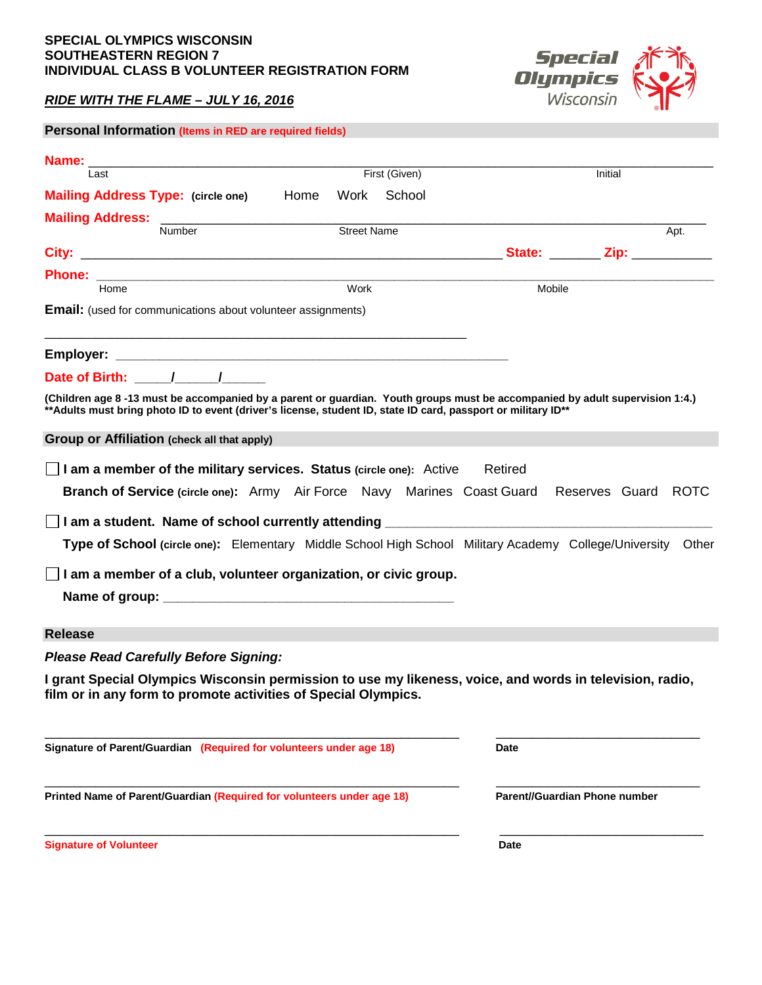### **SPECIAL OLYMPICS WISCONSIN SOUTHEASTERN REGION 7 INDIVIDUAL CLASS B VOLUNTEER REGISTRATION FORM**

# *RIDE WITH THE FLAME – JULY 16, 2016*

| Personal Information (Items in RED are required fields)                                                                     |                    |  |             |                               |      |
|-----------------------------------------------------------------------------------------------------------------------------|--------------------|--|-------------|-------------------------------|------|
|                                                                                                                             |                    |  |             |                               |      |
| Last                                                                                                                        | First (Given)      |  |             | Initial                       |      |
| Mailing Address Type: (circle one) Home Work School                                                                         |                    |  |             |                               |      |
|                                                                                                                             |                    |  |             |                               |      |
| Number                                                                                                                      | <b>Street Name</b> |  |             |                               | Apt. |
|                                                                                                                             |                    |  |             |                               |      |
|                                                                                                                             |                    |  |             |                               |      |
| Home                                                                                                                        | Work               |  | Mobile      |                               |      |
| <b>Email:</b> (used for communications about volunteer assignments)                                                         |                    |  |             |                               |      |
|                                                                                                                             |                    |  |             |                               |      |
|                                                                                                                             |                    |  |             |                               |      |
| (Children age 8-13 must be accompanied by a parent or guardian. Youth groups must be accompanied by adult supervision 1:4.) |                    |  |             |                               |      |
| ** Adults must bring photo ID to event (driver's license, student ID, state ID card, passport or military ID**              |                    |  |             |                               |      |
| Group or Affiliation (check all that apply)                                                                                 |                    |  |             |                               |      |
|                                                                                                                             |                    |  |             |                               |      |
| I am a member of the military services. Status (circle one): Active                                                         |                    |  | Retired     |                               |      |
| Branch of Service (circle one): Army Air Force Navy Marines Coast Guard Reserves Guard ROTC                                 |                    |  |             |                               |      |
|                                                                                                                             |                    |  |             |                               |      |
|                                                                                                                             |                    |  |             |                               |      |
| Type of School (circle one): Elementary Middle School High School Military Academy College/University Other                 |                    |  |             |                               |      |
| $\Box$ I am a member of a club, volunteer organization, or civic group.                                                     |                    |  |             |                               |      |
|                                                                                                                             |                    |  |             |                               |      |
|                                                                                                                             |                    |  |             |                               |      |
| <b>Release</b>                                                                                                              |                    |  |             |                               |      |
| <b>Please Read Carefully Before Signing:</b>                                                                                |                    |  |             |                               |      |
| I grant Special Olympics Wisconsin permission to use my likeness, voice, and words in television, radio,                    |                    |  |             |                               |      |
| film or in any form to promote activities of Special Olympics.                                                              |                    |  |             |                               |      |
|                                                                                                                             |                    |  |             |                               |      |
| Signature of Parent/Guardian (Required for volunteers under age 18)                                                         |                    |  | <b>Date</b> |                               |      |
|                                                                                                                             |                    |  |             |                               |      |
| Printed Name of Parent/Guardian (Required for volunteers under age 18)                                                      |                    |  |             | Parent//Guardian Phone number |      |
|                                                                                                                             |                    |  |             |                               |      |
|                                                                                                                             |                    |  |             |                               |      |

**Signature of Volunteer Date**